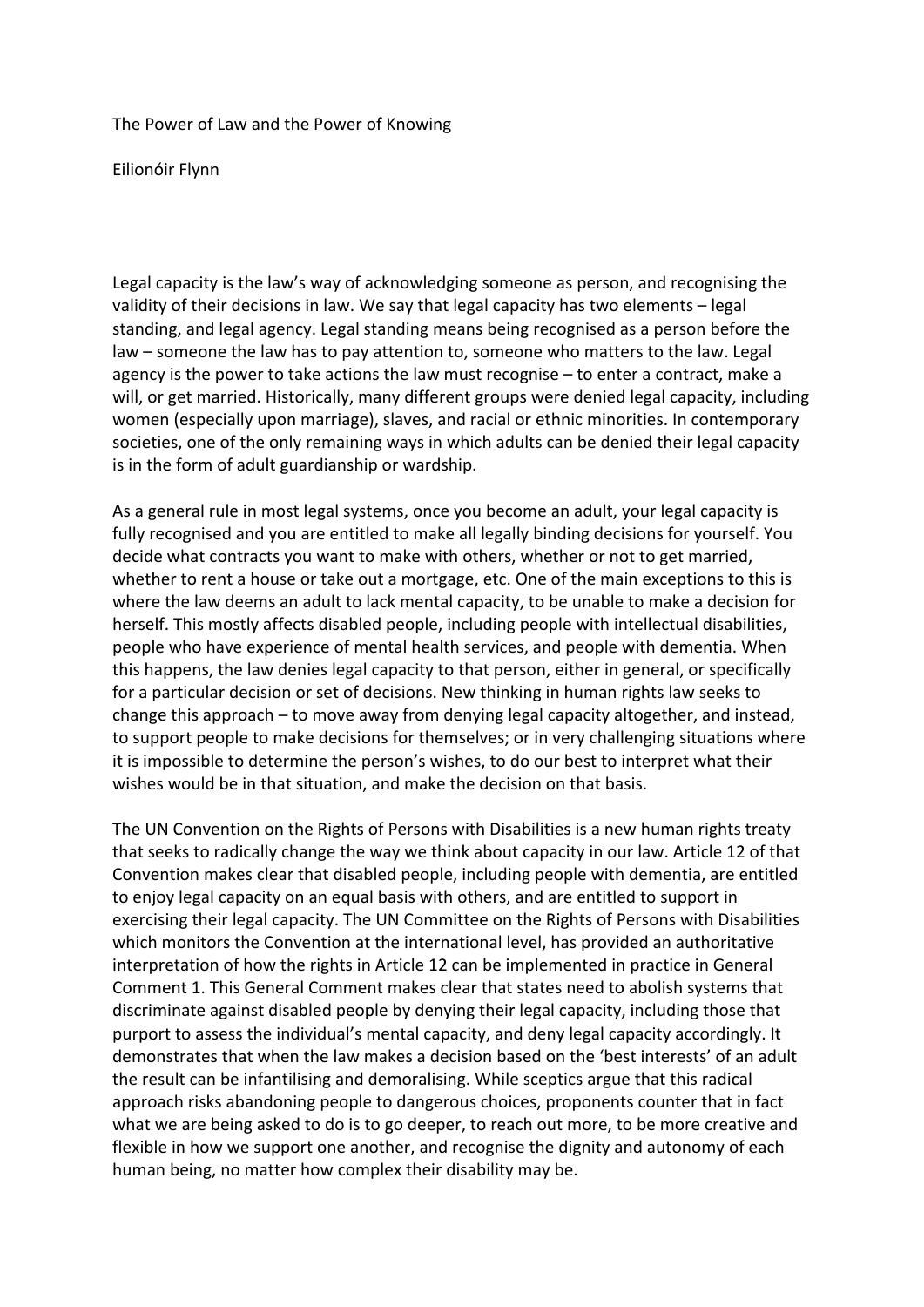The Power of Law and the Power of Knowing

Eilionóir Flynn

Legal capacity is the law's way of acknowledging someone as person, and recognising the validity of their decisions in law. We say that legal capacity has two elements – legal standing, and legal agency. Legal standing means being recognised as a person before the law – someone the law has to pay attention to, someone who matters to the law. Legal agency is the power to take actions the law must recognise  $-$  to enter a contract, make a will, or get married. Historically, many different groups were denied legal capacity, including women (especially upon marriage), slaves, and racial or ethnic minorities. In contemporary societies, one of the only remaining ways in which adults can be denied their legal capacity is in the form of adult guardianship or wardship.

As a general rule in most legal systems, once you become an adult, your legal capacity is fully recognised and you are entitled to make all legally binding decisions for yourself. You decide what contracts you want to make with others, whether or not to get married, whether to rent a house or take out a mortgage, etc. One of the main exceptions to this is where the law deems an adult to lack mental capacity, to be unable to make a decision for herself. This mostly affects disabled people, including people with intellectual disabilities, people who have experience of mental health services, and people with dementia. When this happens, the law denies legal capacity to that person, either in general, or specifically for a particular decision or set of decisions. New thinking in human rights law seeks to change this approach  $-$  to move away from denying legal capacity altogether, and instead, to support people to make decisions for themselves; or in very challenging situations where it is impossible to determine the person's wishes, to do our best to interpret what their wishes would be in that situation, and make the decision on that basis.

The UN Convention on the Rights of Persons with Disabilities is a new human rights treaty that seeks to radically change the way we think about capacity in our law. Article 12 of that Convention makes clear that disabled people, including people with dementia, are entitled to enjoy legal capacity on an equal basis with others, and are entitled to support in exercising their legal capacity. The UN Committee on the Rights of Persons with Disabilities which monitors the Convention at the international level, has provided an authoritative interpretation of how the rights in Article 12 can be implemented in practice in General Comment 1. This General Comment makes clear that states need to abolish systems that discriminate against disabled people by denying their legal capacity, including those that purport to assess the individual's mental capacity, and deny legal capacity accordingly. It demonstrates that when the law makes a decision based on the 'best interests' of an adult the result can be infantilising and demoralising. While sceptics argue that this radical approach risks abandoning people to dangerous choices, proponents counter that in fact what we are being asked to do is to go deeper, to reach out more, to be more creative and flexible in how we support one another, and recognise the dignity and autonomy of each human being, no matter how complex their disability may be.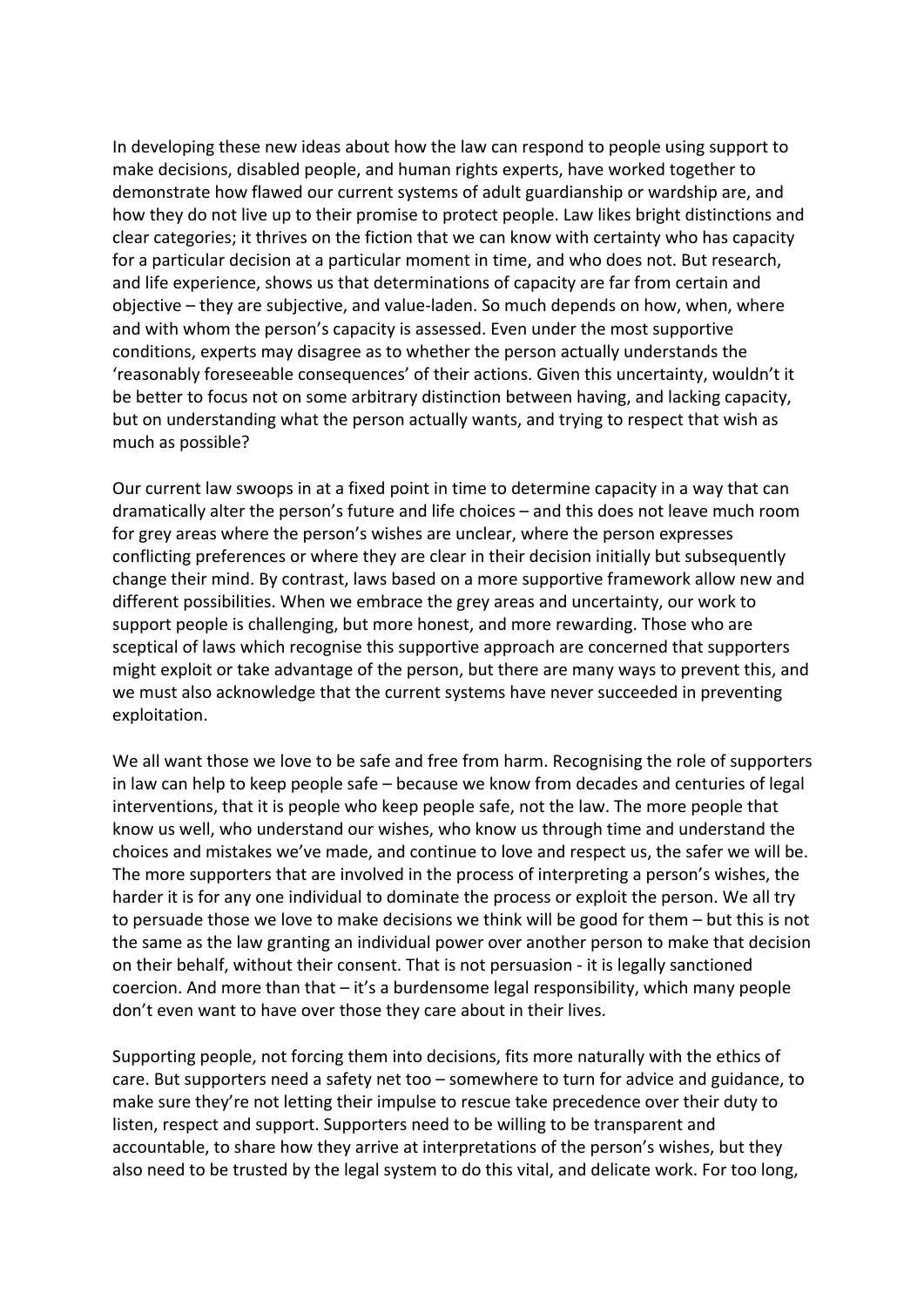In developing these new ideas about how the law can respond to people using support to make decisions, disabled people, and human rights experts, have worked together to demonstrate how flawed our current systems of adult guardianship or wardship are, and how they do not live up to their promise to protect people. Law likes bright distinctions and clear categories; it thrives on the fiction that we can know with certainty who has capacity for a particular decision at a particular moment in time, and who does not. But research, and life experience, shows us that determinations of capacity are far from certain and objective – they are subjective, and value-laden. So much depends on how, when, where and with whom the person's capacity is assessed. Even under the most supportive conditions, experts may disagree as to whether the person actually understands the 'reasonably foreseeable consequences' of their actions. Given this uncertainty, wouldn't it be better to focus not on some arbitrary distinction between having, and lacking capacity, but on understanding what the person actually wants, and trying to respect that wish as much as possible?

Our current law swoops in at a fixed point in time to determine capacity in a way that can dramatically alter the person's future and life choices – and this does not leave much room for grey areas where the person's wishes are unclear, where the person expresses conflicting preferences or where they are clear in their decision initially but subsequently change their mind. By contrast, laws based on a more supportive framework allow new and different possibilities. When we embrace the grey areas and uncertainty, our work to support people is challenging, but more honest, and more rewarding. Those who are sceptical of laws which recognise this supportive approach are concerned that supporters might exploit or take advantage of the person, but there are many ways to prevent this, and we must also acknowledge that the current systems have never succeeded in preventing exploitation.

We all want those we love to be safe and free from harm. Recognising the role of supporters in law can help to keep people safe – because we know from decades and centuries of legal interventions, that it is people who keep people safe, not the law. The more people that know us well, who understand our wishes, who know us through time and understand the choices and mistakes we've made, and continue to love and respect us, the safer we will be. The more supporters that are involved in the process of interpreting a person's wishes, the harder it is for any one individual to dominate the process or exploit the person. We all try to persuade those we love to make decisions we think will be good for them  $-$  but this is not the same as the law granting an individual power over another person to make that decision on their behalf, without their consent. That is not persuasion - it is legally sanctioned coercion. And more than that  $-$  it's a burdensome legal responsibility, which many people don't even want to have over those they care about in their lives.

Supporting people, not forcing them into decisions, fits more naturally with the ethics of care. But supporters need a safety net too – somewhere to turn for advice and guidance, to make sure they're not letting their impulse to rescue take precedence over their duty to listen, respect and support. Supporters need to be willing to be transparent and accountable, to share how they arrive at interpretations of the person's wishes, but they also need to be trusted by the legal system to do this vital, and delicate work. For too long,